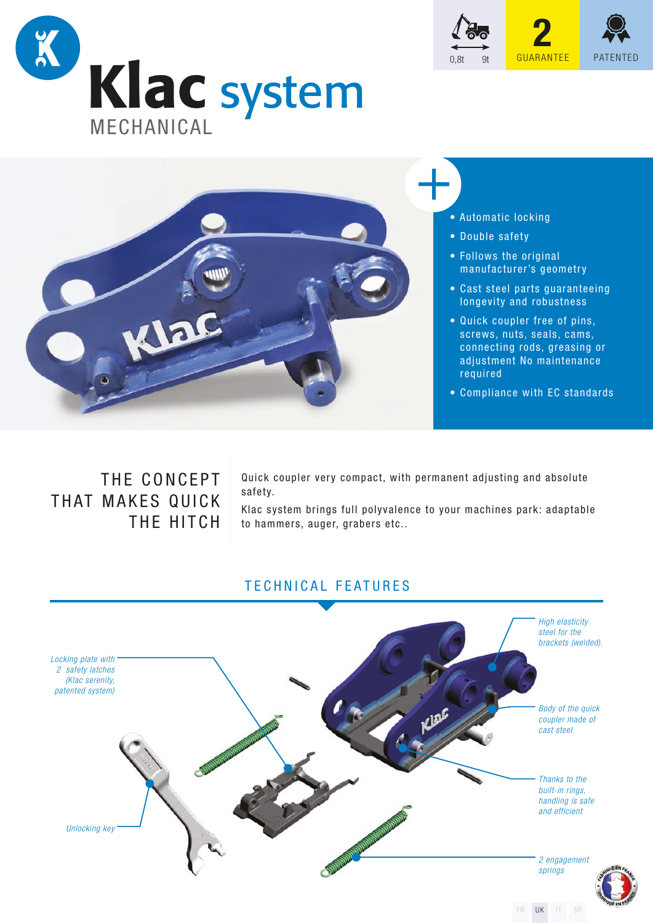



## • Automatic locking

- Double safety
- Follows the original manufacturer's geometry
- Cast steel parts guaranteeing longevity and robustness

0,8t 9t <mark>GUARANTEE</mark> PATENTED

**2**

- Quick coupler free of pins, screws, nuts, seals, cams, connecting rods, greasing or adjustment No maintenance required
- Compliance with EC standards

# THE CONCEPT THAT MAKES QUICK THE HITCH

Quick coupler very compact, with permanent adjusting and absolute safety.

Klac system brings full polyvalence to your machines park: adaptable to hammers, auger, grabers etc..

# TECHNICAL FEATURES



FR UK IT SP